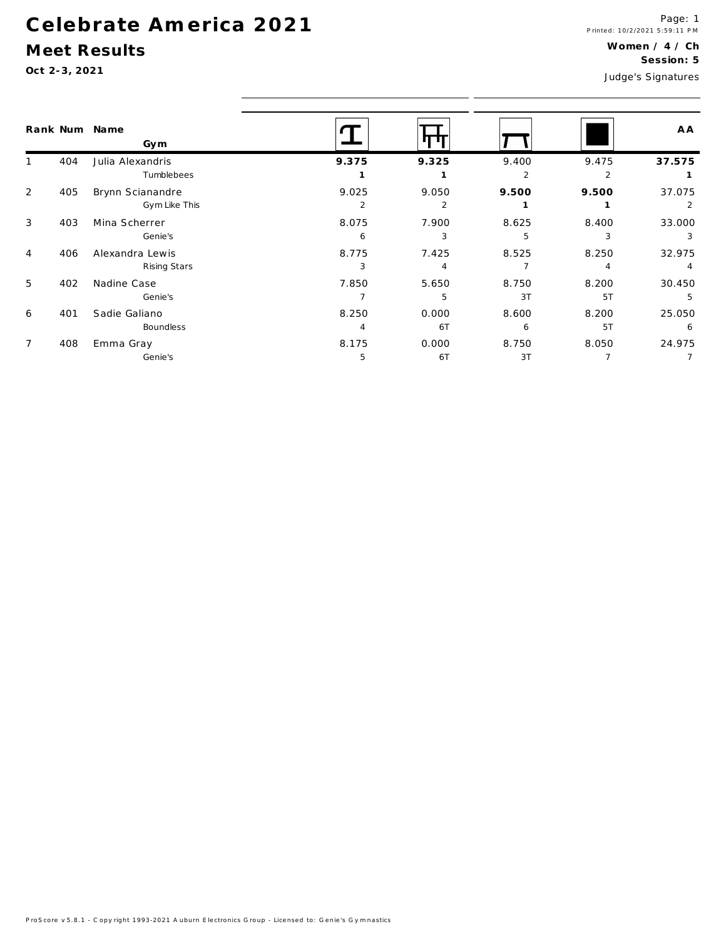## Meet Results

|                |     | Rank Num Name<br>Gym |       |                |                |                | A A            |
|----------------|-----|----------------------|-------|----------------|----------------|----------------|----------------|
|                | 404 | Julia Alexandris     | 9.375 | 9.325          | 9.400          | 9.475          | 37.575         |
|                |     | Tumblebees           |       |                | $\overline{2}$ | 2              |                |
| 2              | 405 | Brynn Scianandre     | 9.025 | 9.050          | 9.500          | 9.500          | 37.075         |
|                |     | Gym Like This        | 2     | 2              |                |                |                |
| 3              | 403 | Mina Scherrer        | 8.075 | 7.900          | 8.625          | 8.400          | 33.000         |
|                |     | Genie's              | 6     | 3              | 5              | 3              | 3              |
| 4              | 406 | Alexandra Lewis      | 8.775 | 7.425          | 8.525          | 8.250          | 32.975         |
|                |     | Rising Stars         | 3     | $\overline{4}$ |                | $\overline{4}$ | $\overline{4}$ |
| 5              | 402 | Nadine Case          | 7.850 | 5.650          | 8.750          | 8.200          | 30.450         |
|                |     | Genie's              |       | 5              | 3T             | 5T             | 5              |
| 6              | 401 | Sadie Galiano        | 8.250 | 0.000          | 8.600          | 8.200          | 25.050         |
|                |     | <b>Boundless</b>     | 4     | 6T             | 6              | 5T             | 6              |
| $\overline{7}$ | 408 | Emma Gray            | 8.175 | 0.000          | 8.750          | 8.050          | 24.975         |
|                |     | Genie's              | 5     | 6T             | 3T             |                |                |
|                |     |                      |       |                |                |                |                |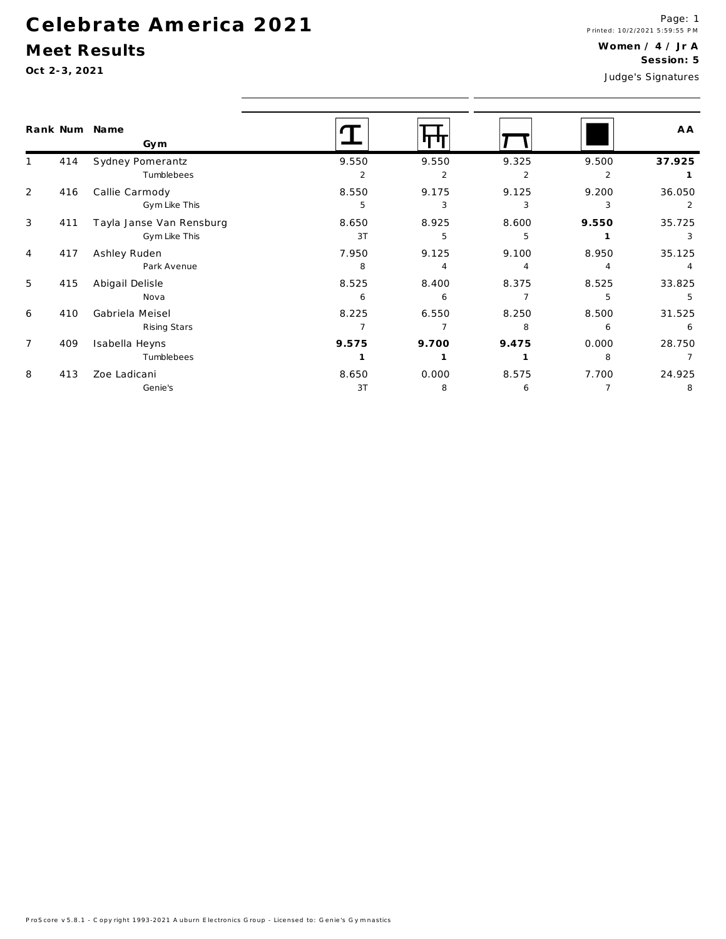## Meet Results

|                |     | Rank Num Name<br>Gym     |       |       |       |                | A A    |
|----------------|-----|--------------------------|-------|-------|-------|----------------|--------|
|                | 414 | Sydney Pomerantz         | 9.550 | 9.550 | 9.325 | 9.500          | 37.925 |
|                |     | Tumblebees               | 2     | 2     | 2     | $\overline{2}$ |        |
| 2              | 416 | Callie Carmody           | 8.550 | 9.175 | 9.125 | 9.200          | 36.050 |
|                |     | Gym Like This            | 5     | 3     | 3     | 3              |        |
| 3              | 411 | Tayla Janse Van Rensburg | 8.650 | 8.925 | 8.600 | 9.550          | 35.725 |
|                |     | Gym Like This            | 3T    | 5     | 5     |                |        |
| $\overline{4}$ | 417 | Ashley Ruden             | 7.950 | 9.125 | 9.100 | 8.950          | 35.125 |
|                |     | Park Avenue              | 8     |       |       |                |        |
| 5              | 415 | Abigail Delisle          | 8.525 | 8.400 | 8.375 | 8.525          | 33.825 |
|                |     | Nova                     | 6     | 6     |       | 5              | 5      |
| 6              | 410 | Gabriela Meisel          | 8.225 | 6.550 | 8.250 | 8.500          | 31.525 |
|                |     | Rising Stars             |       | 7     | 8     | 6              | 6      |
| $\overline{7}$ | 409 | Isabella Heyns           | 9.575 | 9.700 | 9.475 | 0.000          | 28.750 |
|                |     | Tumblebees               |       |       |       | 8              |        |
| 8              | 413 | Zoe Ladicani             | 8.650 | 0.000 | 8.575 | 7.700          | 24.925 |
|                |     | Genie's                  | 3T    | 8     | 6     |                | 8      |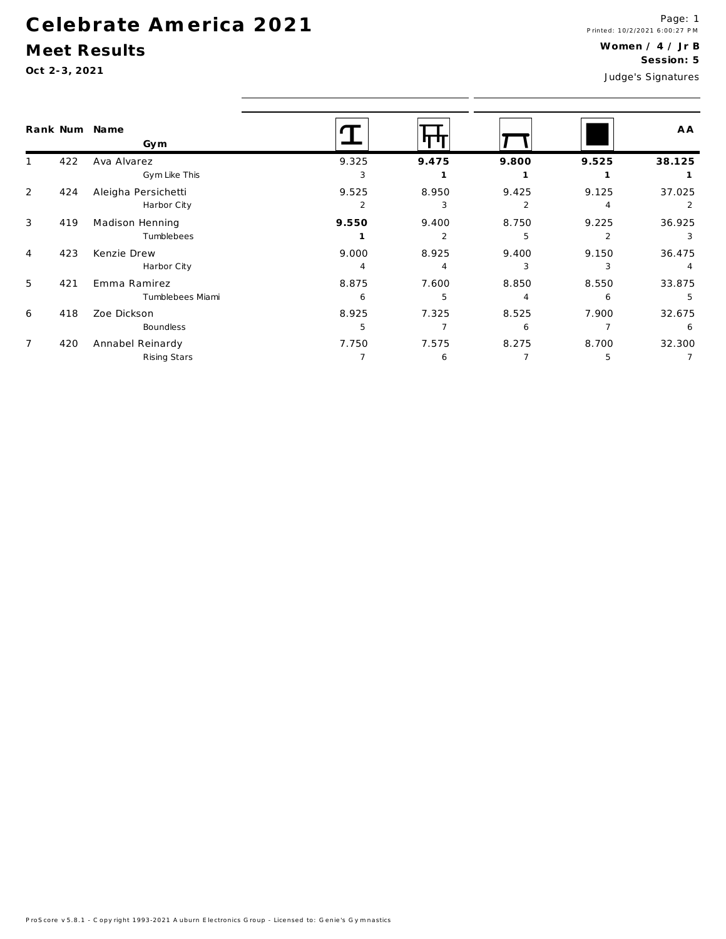#### Meet Results

Oct 2-3, 2021

|                | Rank Num | Name<br>Gym                        |                         |                        |                         |                         | A A         |  |
|----------------|----------|------------------------------------|-------------------------|------------------------|-------------------------|-------------------------|-------------|--|
|                | 422      | Ava Alvarez<br>Gym Like This       | 9.325<br>3              | 9.475                  | 9.800                   | 9.525                   | 38.125      |  |
| 2              | 424      | Aleigha Persichetti<br>Harbor City | 9.525<br>$\mathfrak{p}$ | 8.950<br>3             | 9.425<br>$\overline{2}$ | 9.125                   | 37.025<br>2 |  |
| 3              | 419      | Madison Henning<br>Tumblebees      | 9.550                   | 9.400<br>$\mathcal{P}$ | 8.750<br>5              | 9.225<br>$\mathfrak{p}$ | 36.925<br>3 |  |
| $\overline{4}$ | 423      | Kenzie Drew<br>Harbor City         | 9.000                   | 8.925<br>4             | 9.400<br>3              | 9.150<br>3              | 36.475      |  |
| 5              | 421      | Emma Ramirez<br>Tumblebees Miami   | 8.875<br>6              | 7.600<br>5             | 8.850                   | 8.550<br>6              | 33.875<br>5 |  |
| 6              | 418      | Zoe Dickson<br>Boundless           | 8.925<br>5              | 7.325                  | 8.525<br>6              | 7.900                   | 32.675<br>6 |  |
| $\overline{7}$ | 420      | Annabel Reinardy<br>Rising Stars   | 7.750                   | 7.575<br>6             | 8.275                   | 8.700<br>5              | 32.300      |  |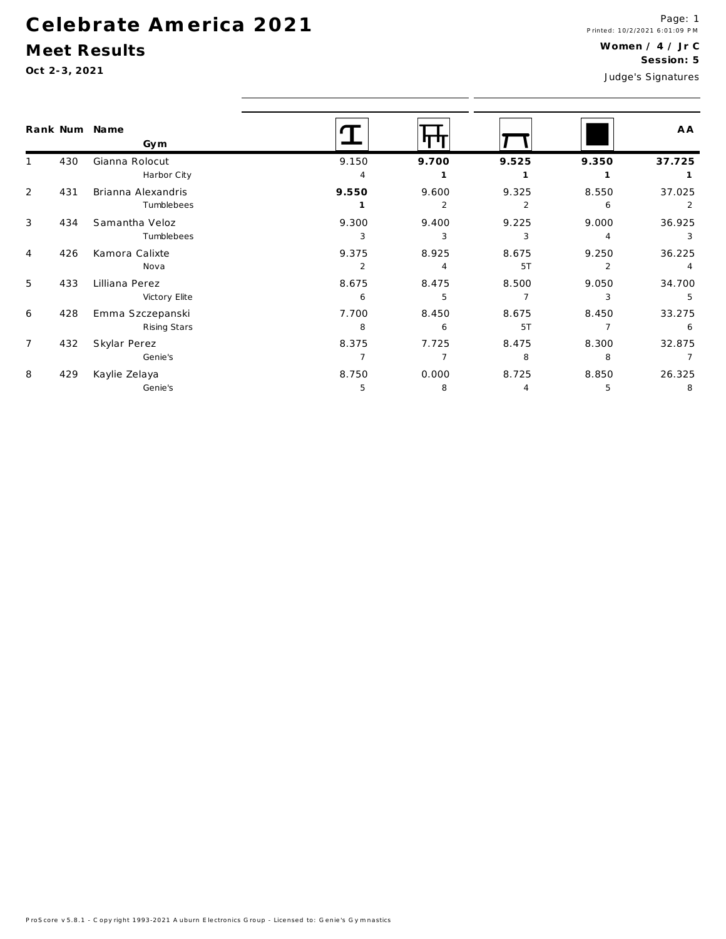#### Meet Results

|                |     | Rank Num Name<br>Gym |                |       |       |                | A A            |
|----------------|-----|----------------------|----------------|-------|-------|----------------|----------------|
|                | 430 | Gianna Rolocut       | 9.150          | 9.700 | 9.525 | 9.350          | 37.725         |
|                |     | Harbor City          | $\overline{4}$ |       |       |                |                |
| $\overline{2}$ | 431 | Brianna Alexandris   | 9.550          | 9.600 | 9.325 | 8.550          | 37.025         |
|                |     | Tumblebees           |                | 2     | 2     | 6              | 2              |
| 3              | 434 | Samantha Veloz       | 9.300          | 9.400 | 9.225 | 9.000          | 36.925         |
|                |     | Tumblebees           | 3              | 3     | 3     | 4              | 3              |
| 4              | 426 | Kamora Calixte       | 9.375          | 8.925 | 8.675 | 9.250          | 36.225         |
|                |     | Nova                 | 2              | 4     | 5T    | $\overline{2}$ | $\overline{4}$ |
| 5              | 433 | Lilliana Perez       | 8.675          | 8.475 | 8.500 | 9.050          | 34.700         |
|                |     | Victory Elite        | 6              | 5     |       | 3              | 5              |
| 6              | 428 | Emma Szczepanski     | 7.700          | 8.450 | 8.675 | 8.450          | 33.275         |
|                |     | Rising Stars         | 8              | 6     | 5T    |                | 6              |
| $\overline{7}$ | 432 | Skylar Perez         | 8.375          | 7.725 | 8.475 | 8.300          | 32.875         |
|                |     | Genie's              |                |       | 8     | 8              |                |
| 8              | 429 | Kaylie Zelaya        | 8.750          | 0.000 | 8.725 | 8.850          | 26.325         |
|                |     | Genie's              | 5              | 8     | 4     | 5              | 8              |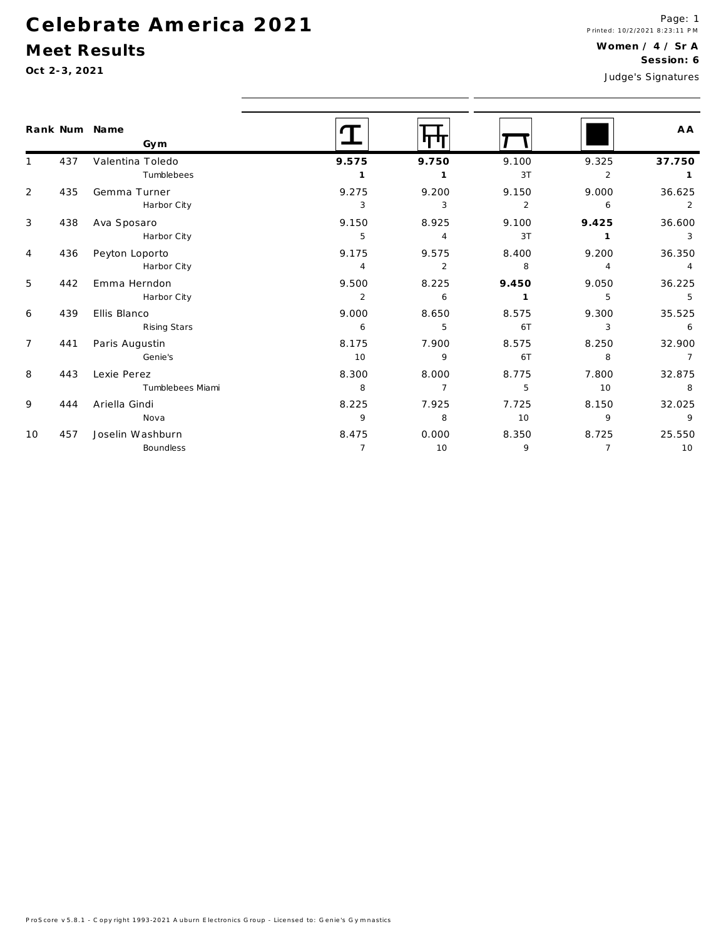## Meet Results

|                |     | Rank Num Name<br>Gym |                |                |                |                | A A             |
|----------------|-----|----------------------|----------------|----------------|----------------|----------------|-----------------|
|                | 437 | Valentina Toledo     | 9.575          | 9.750          | 9.100          | 9.325          | 37.750          |
|                |     | Tumblebees           | $\mathbf{1}$   | $\mathbf{1}$   | 3T             | 2              |                 |
| $\overline{2}$ | 435 | Gemma Turner         | 9.275          | 9.200          | 9.150          | 9.000          | 36.625          |
|                |     | Harbor City          | 3              | 3              | $\overline{2}$ | 6              | $\overline{2}$  |
| 3              | 438 | Ava Sposaro          | 9.150          | 8.925          | 9.100          | 9.425          | 36.600          |
|                |     | Harbor City          | 5              | $\overline{4}$ | 3T             | $\mathbf{1}$   | 3               |
| $\overline{4}$ | 436 | Peyton Loporto       | 9.175          | 9.575          | 8.400          | 9.200          | 36.350          |
|                |     | Harbor City          | $\overline{4}$ | 2              | 8              | $\overline{4}$ | $\overline{4}$  |
| 5              | 442 | Emma Herndon         | 9.500          | 8.225          | 9.450          | 9.050          | 36.225          |
|                |     | Harbor City          | 2              | 6              | $\mathbf{1}$   | 5              | 5               |
| 6              | 439 | Ellis Blanco         | 9.000          | 8.650          | 8.575          | 9.300          | 35.525          |
|                |     | Rising Stars         | 6              | 5              | 6T             | 3              | $6\overline{6}$ |
| $7^{\circ}$    | 441 | Paris Augustin       | 8.175          | 7.900          | 8.575          | 8.250          | 32.900          |
|                |     | Genie's              | 10             | 9              | 6T             | 8              | $\overline{7}$  |
| 8              | 443 | Lexie Perez          | 8.300          | 8.000          | 8.775          | 7.800          | 32.875          |
|                |     | Tumblebees Miami     | 8              | $\overline{7}$ | 5              | 10             | 8               |
| 9              | 444 | Ariella Gindi        | 8.225          | 7.925          | 7.725          | 8.150          | 32.025          |
|                |     | Nova                 | 9              | 8              | 10             | 9              | 9               |
| 10             | 457 | Joselin Washburn     | 8.475          | 0.000          | 8.350          | 8.725          | 25.550          |
|                |     | Boundless            | $\overline{7}$ | 10             | 9              | $\overline{7}$ | 10              |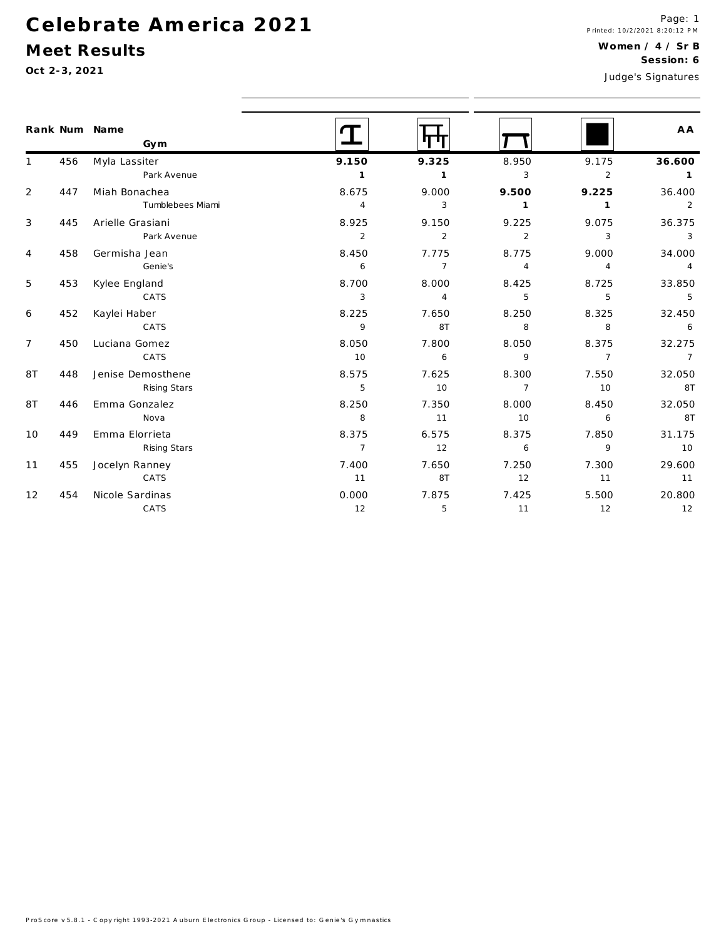## Meet Results

|                |     | Rank Num Name<br>Gym | <u>T</u>       | m              |                |                | A A                                                                |  |
|----------------|-----|----------------------|----------------|----------------|----------------|----------------|--------------------------------------------------------------------|--|
| $\mathbf{1}$   | 456 | Myla Lassiter        | 9.150          | 9.325          | 8.950          | 9.175          | 36.600                                                             |  |
|                |     | Park Avenue          | $\overline{1}$ | $\mathbf{1}$   | 3              | $\overline{2}$ | $\overline{1}$                                                     |  |
| $\overline{2}$ | 447 | Miah Bonachea        | 8.675          | 9.000          | 9.500          | 9.225          | 36.400                                                             |  |
|                |     | Tumblebees Miami     | $\overline{4}$ | 3              | $\overline{1}$ | $\overline{1}$ | 2                                                                  |  |
| 3              | 445 | Arielle Grasiani     | 8.925          | 9.150          | 9.225          | 9.075          | 36.375                                                             |  |
|                |     | Park Avenue          | $\overline{2}$ | 2              | $\overline{2}$ | 3              | 3                                                                  |  |
| 4              | 458 | Germisha Jean        | 8.450          | 7.775          | 8.775          | 9.000          | 34.000                                                             |  |
|                |     | Genie's              | 6              | $\overline{7}$ | $\overline{4}$ | $\overline{4}$ | $\overline{4}$                                                     |  |
| 5              | 453 | Kylee England        | 8.700          | 8.000          | 8.425          | 8.725          | 33.850                                                             |  |
|                |     | CATS                 | $\mathbf{3}$   | $\overline{4}$ | 5              | 5              | 5                                                                  |  |
| 6              | 452 | Kaylei Haber         | 8.225          | 7.650          | 8.250          | 8.325          | 32.450                                                             |  |
|                |     | CATS                 | 9              | 8T             | 8              | 8              | 6                                                                  |  |
| $\overline{7}$ | 450 | Luciana Gomez        | 8.050          | 7.800          | 8.050          | 8.375          | 32.275                                                             |  |
|                |     | CATS                 | 10             | 6              | 9              | $\overline{7}$ | $\overline{7}$                                                     |  |
| 8T             | 448 | Jenise Demosthene    | 8.575          | 7.625          | 8.300          | 7.550          | 32.050                                                             |  |
|                |     | Rising Stars         | 5              | 10             | $\overline{7}$ | 10             | 8T<br>32.050<br>8T<br>31.175<br>10<br>29.600<br>11<br>20.800<br>12 |  |
| 8T             | 446 | Emma Gonzalez        | 8.250          | 7.350          | 8.000          | 8.450          |                                                                    |  |
|                |     | Nova                 | 8              | 11             | 10             | 6              |                                                                    |  |
| 10             | 449 | Emma Elorrieta       | 8.375          | 6.575          | 8.375          | 7.850          |                                                                    |  |
|                |     | Rising Stars         | $\overline{7}$ | 12             | 6              | $\mathsf{q}$   |                                                                    |  |
| 11             | 455 | Jocelyn Ranney       | 7.400          | 7.650          | 7.250          | 7.300          |                                                                    |  |
|                |     | CATS                 | 11             | 8T             | 12             | 11             |                                                                    |  |
| 12             | 454 | Nicole Sardinas      | 0.000          | 7.875          | 7.425          | 5.500          |                                                                    |  |
|                |     | CATS                 | 12             | 5              | 11             | 12             |                                                                    |  |